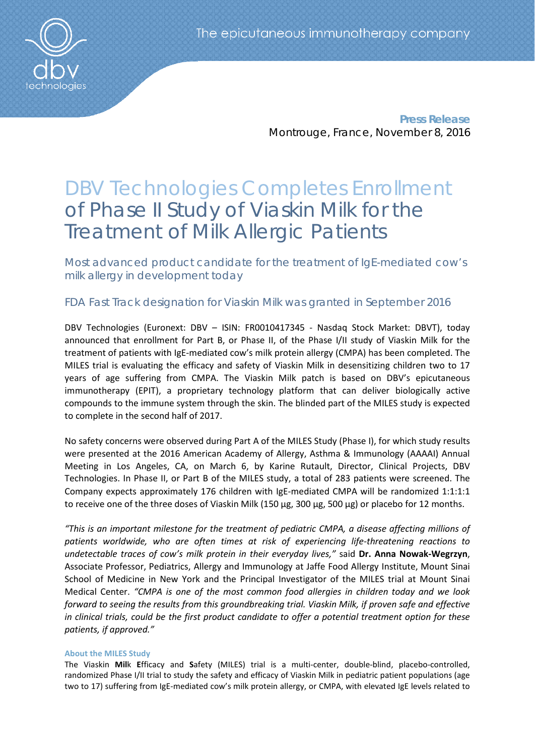

**Press Release** Montrouge, France, November 8, 2016

# DBV Technologies Completes Enrollment of Phase II Study of Viaskin Milk for the Treatment of Milk Allergic Patients

Most advanced product candidate for the treatment of IgE-mediated cow's milk allergy in development today

## FDA Fast Track designation for Viaskin Milk was granted in September 2016

DBV Technologies (Euronext: DBV – ISIN: FR0010417345 - Nasdaq Stock Market: DBVT), today announced that enrollment for Part B, or Phase II, of the Phase I/II study of Viaskin Milk for the treatment of patients with IgE-mediated cow's milk protein allergy (CMPA) has been completed. The MILES trial is evaluating the efficacy and safety of Viaskin Milk in desensitizing children two to 17 years of age suffering from CMPA. The Viaskin Milk patch is based on DBV's epicutaneous immunotherapy (EPIT), a proprietary technology platform that can deliver biologically active compounds to the immune system through the skin. The blinded part of the MILES study is expected to complete in the second half of 2017.

No safety concerns were observed during Part A of the MILES Study (Phase I), for which study results were presented at the 2016 American Academy of Allergy, Asthma & Immunology (AAAAI) Annual Meeting in Los Angeles, CA, on March 6, by Karine Rutault, Director, Clinical Projects, DBV Technologies. In Phase II, or Part B of the MILES study, a total of 283 patients were screened. The Company expects approximately 176 children with IgE-mediated CMPA will be randomized 1:1:1:1 to receive one of the three doses of Viaskin Milk (150 µg, 300 µg, 500 µg) or placebo for 12 months.

*"This is an important milestone for the treatment of pediatric CMPA, a disease affecting millions of patients worldwide, who are often times at risk of experiencing life-threatening reactions to undetectable traces of cow's milk protein in their everyday lives,"* said **Dr. Anna Nowak-Wegrzyn**, Associate Professor, Pediatrics, Allergy and Immunology at Jaffe Food Allergy Institute, Mount Sinai School of Medicine in New York and the Principal Investigator of the MILES trial at Mount Sinai Medical Center. *"CMPA is one of the most common food allergies in children today and we look forward to seeing the results from this groundbreaking trial. Viaskin Milk, if proven safe and effective in clinical trials, could be the first product candidate to offer a potential treatment option for these patients, if approved."* 

### **About the MILES Study**

The Viaskin **Mil**k **E**fficacy and **S**afety (MILES) trial is a multi-center, double-blind, placebo-controlled, randomized Phase I/II trial to study the safety and efficacy of Viaskin Milk in pediatric patient populations (age two to 17) suffering from IgE-mediated cow's milk protein allergy, or CMPA, with elevated IgE levels related to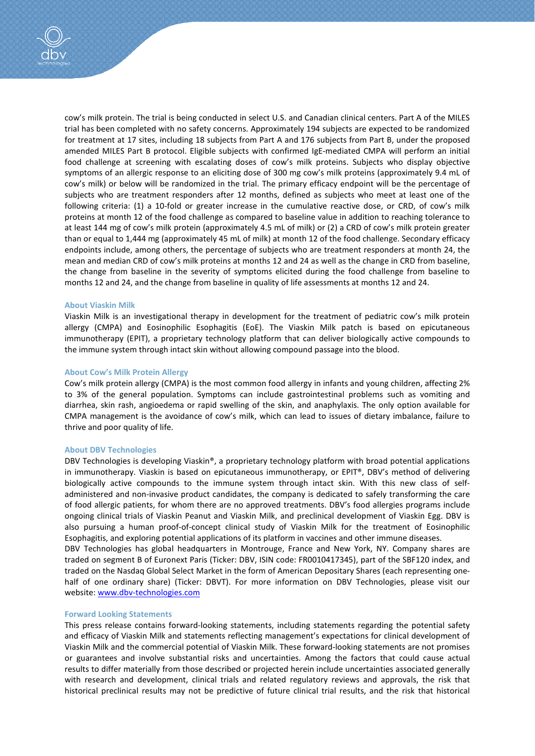cow's milk protein. The trial is being conducted in select U.S. and Canadian clinical centers. Part A of the MILES trial has been completed with no safety concerns. Approximately 194 subjects are expected to be randomized for treatment at 17 sites, including 18 subjects from Part A and 176 subjects from Part B, under the proposed amended MILES Part B protocol. Eligible subjects with confirmed IgE-mediated CMPA will perform an initial food challenge at screening with escalating doses of cow's milk proteins. Subjects who display objective symptoms of an allergic response to an eliciting dose of 300 mg cow's milk proteins (approximately 9.4 mL of cow's milk) or below will be randomized in the trial. The primary efficacy endpoint will be the percentage of subjects who are treatment responders after 12 months, defined as subjects who meet at least one of the following criteria: (1) a 10-fold or greater increase in the cumulative reactive dose, or CRD, of cow's milk proteins at month 12 of the food challenge as compared to baseline value in addition to reaching tolerance to at least 144 mg of cow's milk protein (approximately 4.5 mL of milk) or (2) a CRD of cow's milk protein greater than or equal to 1,444 mg (approximately 45 mL of milk) at month 12 of the food challenge. Secondary efficacy endpoints include, among others, the percentage of subjects who are treatment responders at month 24, the mean and median CRD of cow's milk proteins at months 12 and 24 as well as the change in CRD from baseline, the change from baseline in the severity of symptoms elicited during the food challenge from baseline to months 12 and 24, and the change from baseline in quality of life assessments at months 12 and 24.

#### **About Viaskin Milk**

Viaskin Milk is an investigational therapy in development for the treatment of pediatric cow's milk protein allergy (CMPA) and Eosinophilic Esophagitis (EoE). The Viaskin Milk patch is based on epicutaneous immunotherapy (EPIT), a proprietary technology platform that can deliver biologically active compounds to the immune system through intact skin without allowing compound passage into the blood.

#### **About Cow's Milk Protein Allergy**

Cow's milk protein allergy (CMPA) is the most common food allergy in infants and young children, affecting 2% to 3% of the general population. Symptoms can include gastrointestinal problems such as vomiting and diarrhea, skin rash, angioedema or rapid swelling of the skin, and anaphylaxis. The only option available for CMPA management is the avoidance of cow's milk, which can lead to issues of dietary imbalance, failure to thrive and poor quality of life.

#### **About DBV Technologies**

DBV Technologies is developing Viaskin®, a proprietary technology platform with broad potential applications in immunotherapy. Viaskin is based on epicutaneous immunotherapy, or EPIT®, DBV's method of delivering biologically active compounds to the immune system through intact skin. With this new class of selfadministered and non-invasive product candidates, the company is dedicated to safely transforming the care of food allergic patients, for whom there are no approved treatments. DBV's food allergies programs include ongoing clinical trials of Viaskin Peanut and Viaskin Milk, and preclinical development of Viaskin Egg. DBV is also pursuing a human proof-of-concept clinical study of Viaskin Milk for the treatment of Eosinophilic Esophagitis, and exploring potential applications of its platform in vaccines and other immune diseases.

DBV Technologies has global headquarters in Montrouge, France and New York, NY. Company shares are traded on segment B of Euronext Paris (Ticker: DBV, ISIN code: FR0010417345), part of the SBF120 index, and traded on the Nasdaq Global Select Market in the form of American Depositary Shares (each representing onehalf of one ordinary share) (Ticker: DBVT). For more information on DBV Technologies, please visit our website: [www.dbv-technologies.com](http://www.dbv-technologies.com/)

#### **Forward Looking Statements**

This press release contains forward-looking statements, including statements regarding the potential safety and efficacy of Viaskin Milk and statements reflecting management's expectations for clinical development of Viaskin Milk and the commercial potential of Viaskin Milk. These forward-looking statements are not promises or guarantees and involve substantial risks and uncertainties. Among the factors that could cause actual results to differ materially from those described or projected herein include uncertainties associated generally with research and development, clinical trials and related regulatory reviews and approvals, the risk that historical preclinical results may not be predictive of future clinical trial results, and the risk that historical